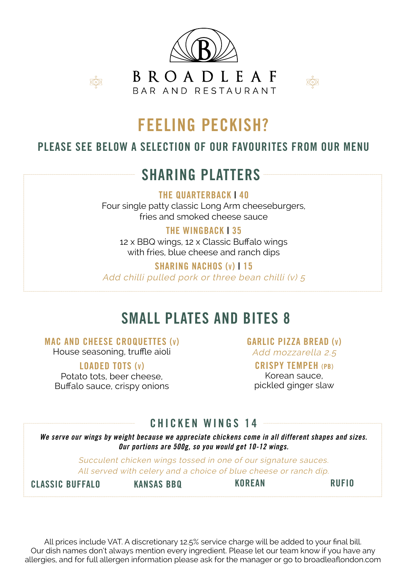

**BROADIEAF** BAR AND RESTAURANT



### FEELING PECKISH?

#### PLEASE SEE BELOW A SELECTION OF OUR FAVOURITES FROM OUR MENU

### SHARING PLATTERS

THE QUARTERBACK | 40 Four single patty classic Long Arm cheeseburgers,

fries and smoked cheese sauce

THE WINGBACK | 35

12 x BBQ wings, 12 x Classic Buffalo wings with fries, blue cheese and ranch dips

SHARING NACHOS (v) | 15 Add chilli pulled pork or three bean chilli (v) 5

### SMALL PLATES AND BITES 8

#### MAC AND CHEESE CROQUETTES (v)

Ř

House seasoning, truffle aioli

#### LOADED TOTS (v)

Potato tots, beer cheese, Buffalo sauce, crispy onions GARLIC PIZZA BREAD (v) Add mozzarella 2.5

#### CRISPY TEMPEH (PB)

Korean sauce, pickled ginger slaw

#### CHICKEN WINGS 14

We serve our wings by weight because we appreciate chickens come in all different shapes and sizes. Our portions are 500g, so you would get 10-12 wings.

> Succulent chicken wings tossed in one of our signature sauces. All served with celery and a choice of blue cheese or ranch dip.

CLASSIC BUFFALO KANSAS BBQ KOREAN RUFIO

All prices include VAT. A discretionary 12.5% service charge will be added to your final bill. Our dish names don't always mention every ingredient. Please let our team know if you have any allergies, and for full allergen information please ask for the manager or go to broadleaflondon.com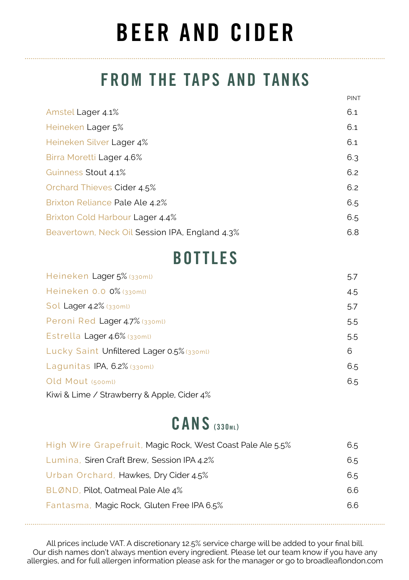# BEER AND CIDER

### FROM THE TAPS AND TANKS

PINT

| Amstel Lager 4.1%                              | 6.1 |
|------------------------------------------------|-----|
| Heineken Lager 5%                              | 6.1 |
| Heineken Silver Lager 4%                       | 6.1 |
| Birra Moretti Lager 4.6%                       | 6.3 |
| Guinness Stout 4.1%                            | 6.2 |
| Orchard Thieves Cider 4.5%                     | 6.2 |
| Brixton Reliance Pale Ale 4.2%                 | 6.5 |
| Brixton Cold Harbour Lager 4.4%                | 6.5 |
| Beavertown, Neck Oil Session IPA, England 4.3% | 6.8 |

### BOTTLES

| Heineken Lager 5% (330ml)                  | 5.7 |
|--------------------------------------------|-----|
| Heineken 0.0 0% (330ml)                    | 4.5 |
| Sol Lager 4.2% (330ml)                     | 5.7 |
| Peroni Red Lager 4.7% (330ml)              | 5.5 |
| Estrella Lager 4.6% (330ml)                | 5.5 |
| Lucky Saint Unfiltered Lager 0.5% (330ml)  | 6   |
| Lagunitas IPA, 6.2% (330ml)                | 6.5 |
| Old Mout (500ml)                           | 6.5 |
| Kiwi & Lime / Strawberry & Apple, Cider 4% |     |

### CANS (330m)

| High Wire Grapefruit, Magic Rock, West Coast Pale Ale 5.5% | 6.5 |
|------------------------------------------------------------|-----|
| Lumina, Siren Craft Brew, Session IPA 4.2%                 | 6.5 |
| Urban Orchard, Hawkes, Dry Cider 4.5%                      | 6.5 |
| BLØND, Pilot, Oatmeal Pale Ale 4%                          | 6.6 |
| Fantasma, Magic Rock, Gluten Free IPA 6.5%                 | 6.6 |

All prices include VAT. A discretionary 12.5% service charge will be added to your final bill. Our dish names don't always mention every ingredient. Please let our team know if you have any allergies, and for full allergen information please ask for the manager or go to broadleaflondon.com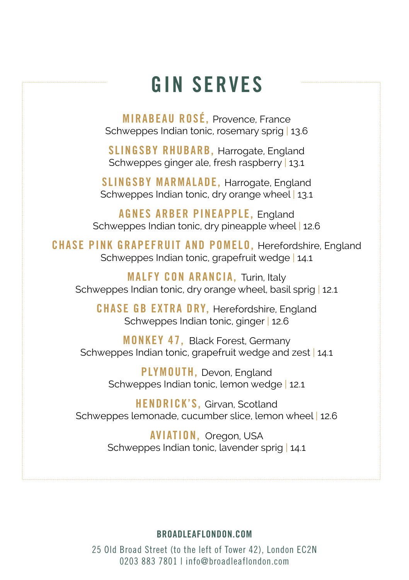## GIN SERVES

MIRABEAU ROSÉ, Provence, France Schweppes Indian tonic, rosemary sprig | 13.6

SLINGSBY RHUBARB, Harrogate, England Schweppes ginger ale, fresh raspberry 13.1

SLINGSBY MARMALADE, Harrogate, England Schweppes Indian tonic, dry orange wheel | 13.1

AGNES ARBER PINEAPPLE, England Schweppes Indian tonic, dry pineapple wheel 12.6

CHASE PINK GRAPEFRUIT AND POMELO, Herefordshire, England Schweppes Indian tonic, grapefruit wedge | 14.1

MALFY CON ARANCIA, Turin, Italy Schweppes Indian tonic, dry orange wheel, basil sprig | 12.1

CHASE GB EXTRA DRY, Herefordshire, England Schweppes Indian tonic, ginger | 12.6

MONKEY 47, Black Forest, Germany Schweppes Indian tonic, grapefruit wedge and zest | 14.1

> PLYMOUTH, Devon, England Schweppes Indian tonic, lemon wedge | 12.1

HENDRICK'S, Girvan, Scotland Schweppes lemonade, cucumber slice, lemon wheel | 12.6

> AVIATION, Oregon, USA Schweppes Indian tonic, lavender sprig | 14.1

#### BROADLEAFLONDON.COM

25 Old Broad Street (to the left of Tower 42), London EC2N 0203 883 7801 | info@broadleaflondon.com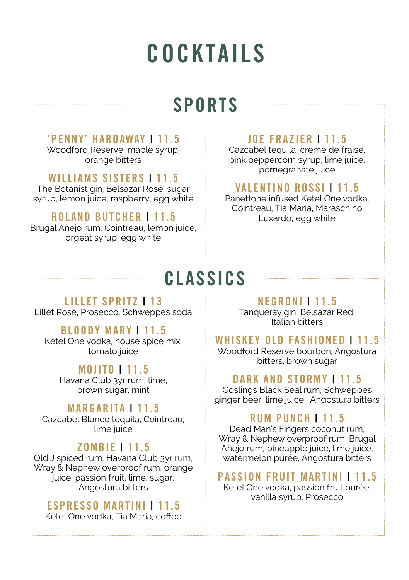# **COCKTAILS**

## SPORTS

#### 'PENNY' HARDAWAY | 11.5

Woodford Reserve, maple syrup, orange bitters

#### WILLIAMS SISTERS | 11.5

The Botanist gin, Belsazar Rosé, sugar syrup, lemon juice, raspberry, egg white

#### ROLAND BUTCHER | 11.5

Brugal Añejo rum, Cointreau, lemon juice, orgeat syrup, egg white

#### JOE FRAZIER | 11.5

Cazcabel tequila, crème de fraise, pink peppercorn syrup, lime juice, pomegranate juice

#### VALENTINO ROSSI | 11.5

Panettone infused Ketel One vodka, Cointreau, Tia Maria, Maraschino Luxardo, egg white

## **CLASSICS**

#### LILLET SPRITZ | 13 Lillet Rosé, Prosecco, Schweppes soda

#### BLOODY MARY | 11.5

Ketel One vodka, house spice mix, tomato juice

#### MOJITO | 11.5

Havana Club 3yr rum, lime, brown sugar, mint

#### MARGARITA | 11.5

Cazcabel Blanco tequila, Cointreau, lime juice

#### ZOMBIE | 11.5

Old J spiced rum, Havana Club 3yr rum, Wray & Nephew overproof rum, orange juice, passion fruit, lime, sugar, Angostura bitters

#### ESPRESSO MARTINI | 11.5

Ketel One vodka, Tia Maria, coffee

#### NEGRONI | 11.5

Tanqueray gin, Belsazar Red, Italian bitters

#### WHISKEY OLD FASHIONED | 11.5

Woodford Reserve bourbon, Angostura bitters, brown sugar

#### DARK AND STORMY | 11.5

Goslings Black Seal rum, Schweppes ginger beer, lime juice, Angostura bitters

#### RUM PUNCH | 11.5

Dead Man's Fingers coconut rum, Wray & Nephew overproof rum, Brugal Añejo rum, pineapple juice, lime juice, watermelon purée, Angostura bitters

#### PASSION FRUIT MARTINI | 11.5

Ketel One vodka, passion fruit purée, vanilla syrup, Prosecco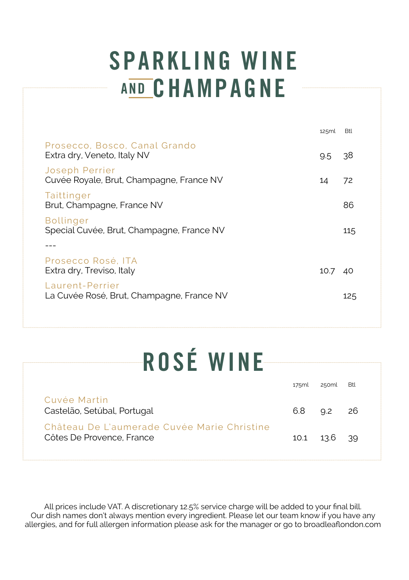# SPARKLING WINE **AND CHAMPAGNE**

|                                                               | 125ml         | <b>Btl</b> |
|---------------------------------------------------------------|---------------|------------|
| Prosecco, Bosco, Canal Grando<br>Extra dry, Veneto, Italy NV  | $9.5^{\circ}$ | -38        |
| Joseph Perrier<br>Cuvée Royale, Brut, Champagne, France NV    | 14            | 72         |
| Taittinger<br>Brut, Champagne, France NV                      |               | 86         |
| <b>Bollinger</b><br>Special Cuvée, Brut, Champagne, France NV |               | 115        |
|                                                               |               |            |
| Prosecco Rosé. ITA<br>Extra dry, Treviso, Italy               | 10.7          | -40        |
| Laurent-Perrier<br>La Cuvée Rosé, Brut, Champagne, France NV  |               | 125        |
|                                                               |               |            |

# ROSÉ WINE

|                                                                          | 175ml | 250ml              | Btl |
|--------------------------------------------------------------------------|-------|--------------------|-----|
| Cuvée Martin<br>Castelão, Setúbal, Portugal                              | 6.8   | $9.2$ 26           |     |
| Château De L'aumerade Cuvée Marie Christine<br>Côtes De Provence, France |       | $10.1$ $13.6$ $39$ |     |

All prices include VAT. A discretionary 12.5% service charge will be added to your final bill. Our dish names don't always mention every ingredient. Please let our team know if you have any allergies, and for full allergen information please ask for the manager or go to broadleaflondon.com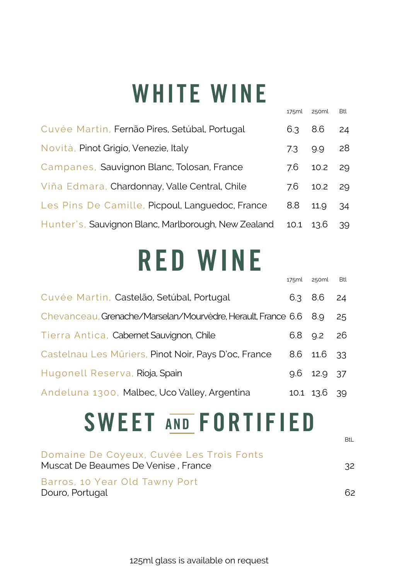# WHITE WINE

|                                                     | 175ml | 250ml   | Btl |
|-----------------------------------------------------|-------|---------|-----|
| Cuvée Martin, Fernão Pires, Setúbal, Portugal       | 6.3   | 8.6     | 24  |
| Novità, Pinot Grigio, Venezie, Italy                | 7.3   | 9.9     | 28  |
| Campanes, Sauvignon Blanc, Tolosan, France          | 7.6   | 10.2 29 |     |
| Viña Edmara, Chardonnay, Valle Central, Chile       | 7.6   | 10.2 29 |     |
| Les Pins De Camille, Picpoul, Languedoc, France     | 8.8   | 11.9    | 34  |
| Hunter's, Sauvignon Blanc, Marlborough, New Zealand | 10.1  | 13.6    | 39  |

# RED WINE

|                                                                  | 175ml | 250ml         | Btl |
|------------------------------------------------------------------|-------|---------------|-----|
| Cuvée Martin, Castelão, Setúbal, Portugal                        |       | 6.3 8.6       | 24  |
| Chevanceau, Grenache/Marselan/Mourvèdre, Herault, France 6.6 8.9 |       |               | 25  |
| Tierra Antica, Cabernet Sauvignon, Chile                         |       | 6.8 9.2 26    |     |
| Castelnau Les Mûriers, Pinot Noir, Pays D'oc, France             |       | 8.6 11.6 33   |     |
| Hugonell Reserva, Rioja, Spain                                   |       | $9.6$ 12.9 37 |     |
| Andeluna 1300, Malbec, Uco Valley, Argentina                     |       | 10.1 13.6     | 39  |

# SWEET AND FORTIFIED

BtL

| Domaine De Coyeux, Cuvée Les Trois Fonts<br>Muscat De Beaumes De Venise , France | 32 |
|----------------------------------------------------------------------------------|----|
| Barros, 10 Year Old Tawny Port<br>Douro, Portugal                                | 62 |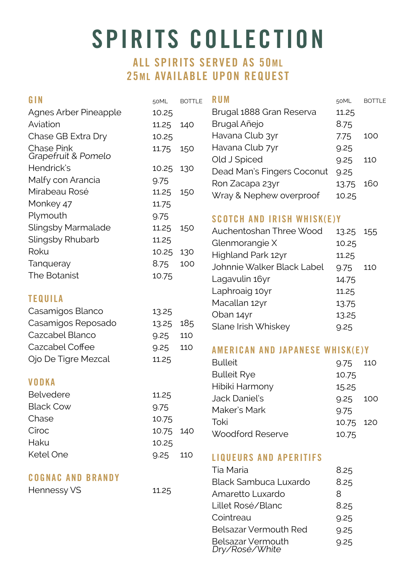# SPIRITS COLLECTION

#### ALL SPIRITS SERVED AS 50ML 25ML AVAILABLE UPON REQUEST

| GIN                               | 50ML  | <b>BOTTLE</b> | <b>RUM</b>                             | 50ML  | <b>BOTTLE</b> |
|-----------------------------------|-------|---------------|----------------------------------------|-------|---------------|
| Agnes Arber Pineapple             | 10.25 |               | Brugal 1888 Gran Reserva               | 11.25 |               |
| Aviation                          | 11.25 | 140           | Brugal Añejo                           | 8.75  |               |
| Chase GB Extra Dry                | 10.25 |               | Havana Club 3yr                        | 7.75  | 100           |
| Chase Pink<br>Grapefruit & Pomelo | 11.75 | 150           | Havana Club 7yr                        | 9.25  |               |
| Hendrick's                        | 10.25 | 130           | Old J Spiced                           | 9.25  | 110           |
| Malfy con Arancia                 | 9.75  |               | Dead Man's Fingers Coconut             | 9.25  |               |
| Mirabeau Rosé                     | 11.25 |               | Ron Zacapa 23yr                        | 13.75 | 160           |
| Monkey 47                         | 11.75 | 150           | Wray & Nephew overproof                | 10.25 |               |
|                                   |       |               |                                        |       |               |
| Plymouth                          | 9.75  |               | <b>SCOTCH AND IRISH WHISK(E)Y</b>      |       |               |
| Slingsby Marmalade                | 11.25 | 150           | Auchentoshan Three Wood                | 13.25 | 155           |
| Slingsby Rhubarb                  | 11.25 |               | Glenmorangie X                         | 10.25 |               |
| Roku                              | 10.25 | 130           | Highland Park 12yr                     | 11.25 |               |
| Tanqueray                         | 8.75  | 100           | Johnnie Walker Black Label             | 9.75  | 110           |
| The Botanist                      | 10.75 |               | Lagavulin 16yr                         | 14.75 |               |
|                                   |       |               | Laphroaig 10yr                         | 11.25 |               |
| <b>TEQUILA</b>                    |       |               | Macallan 12yr                          | 13.75 |               |
| Casamigos Blanco                  | 13.25 |               | Oban 14yr                              | 13.25 |               |
| Casamigos Reposado                | 13.25 | 185           | Slane Irish Whiskey                    | 9.25  |               |
| Cazcabel Blanco                   | 9.25  | 110           |                                        |       |               |
| Cazcabel Coffee                   | 9.25  | 110           | <b>AMERICAN AND JAPANESE WHISK(E)Y</b> |       |               |
| Ojo De Tigre Mezcal               | 11.25 |               | <b>Bulleit</b>                         | 9.75  | 110           |
|                                   |       |               | <b>Bulleit Rye</b>                     | 10.75 |               |
| <b>VODKA</b>                      |       |               | Hibiki Harmony                         | 15.25 |               |
| <b>Belvedere</b>                  | 11.25 |               | Jack Daniel's                          | 9.25  | 100           |
| <b>Black Cow</b>                  | 9.75  |               | Maker's Mark                           | 9.75  |               |
| Chase                             | 10.75 |               | Toki                                   | 10.75 | 120           |
| Cîroc                             | 10.75 | 140           | Woodford Reserve                       | 10.75 |               |
| Haku                              | 10.25 |               |                                        |       |               |
| Ketel One                         | 9.25  | 110           | <b>LIQUEURS AND APERITIFS</b>          |       |               |
|                                   |       |               | Tia Maria                              | 8.25  |               |
| <b>COGNAC AND BRANDY</b>          |       |               | Black Sambuca Luxardo                  | 8.25  |               |
| Hennessy VS                       | 11.25 |               | Amaretto Luxardo                       | 8     |               |
|                                   |       |               | Lillet Rosé/Blanc                      | 8.25  |               |
|                                   |       |               | Cointreau                              | 9.25  |               |
|                                   |       |               | Belsazar Vermouth Red                  | 9.25  |               |
|                                   |       |               | Belsazar Vermouth                      | 9.25  |               |

Dry/Rosé/White